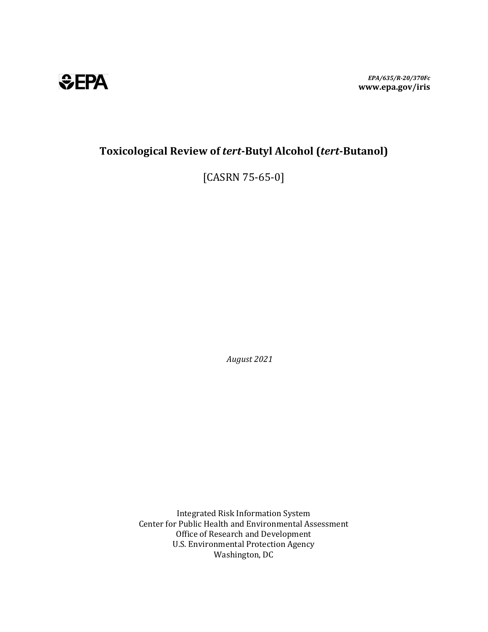*EPA/635/R-20/370Fc*  **www.epa.gov/iris**



# **Toxicological Review of** *tert***-Butyl Alcohol (***tert***-Butanol)**

[CASRN 75-65-0]

*August 2021* 

Integrated Risk Information System Center for Public Health and Environmental Assessment Office of Research and Development U.S. Environmental Protection Agency Washington, DC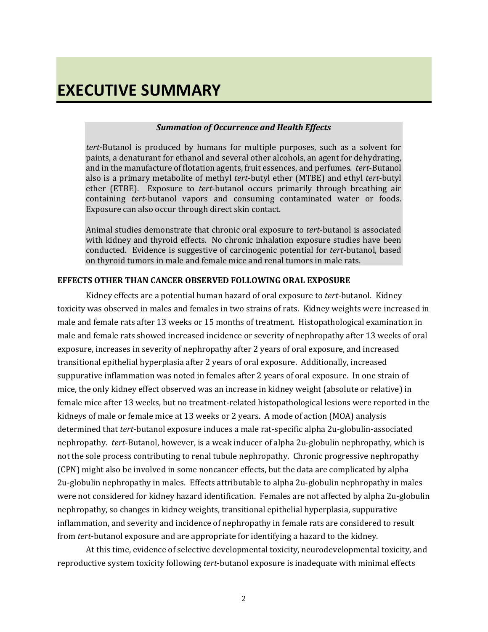# *Summation of Occurrence and Health Effects*

*tert*-Butanol is produced by humans for multiple purposes, such as a solvent for paints, a denaturant for ethanol and several other alcohols, an agent for dehydrating, and in the manufacture of flotation agents, fruit essences, and perfumes. *tert*-Butanol also is a primary metabolite of methyl *tert*-butyl ether (MTBE) and ethyl *tert*-butyl ether (ETBE). Exposure to *tert*-butanol occurs primarily through breathing air containing *tert*-butanol vapors and consuming contaminated water or foods. Exposure can also occur through direct skin contact.

Animal studies demonstrate that chronic oral exposure to *tert*-butanol is associated with kidney and thyroid effects. No chronic inhalation exposure studies have been conducted. Evidence is suggestive of carcinogenic potential for *tert*-butanol, based on thyroid tumors in male and female mice and renal tumors in male rats.

# **EFFECTS OTHER THAN CANCER OBSERVED FOLLOWING ORAL EXPOSURE**

Kidney effects are a potential human hazard of oral exposure to *tert*-butanol. Kidney toxicity was observed in males and females in two strains of rats. Kidney weights were increased in male and female rats after 13 weeks or 15 months of treatment. Histopathological examination in male and female rats showed increased incidence or severity of nephropathy after 13 weeks of oral exposure, increases in severity of nephropathy after 2 years of oral exposure, and increased transitional epithelial hyperplasia after 2 years of oral exposure. Additionally, increased suppurative inflammation was noted in females after 2 years of oral exposure. In one strain of mice, the only kidney effect observed was an increase in kidney weight (absolute or relative) in female mice after 13 weeks, but no treatment-related histopathological lesions were reported in the kidneys of male or female mice at 13 weeks or 2 years. A mode of action (MOA) analysis determined that *tert*-butanol exposure induces a male rat-specific alpha 2u-globulin-associated nephropathy. *tert*-Butanol, however, is a weak inducer of alpha 2u-globulin nephropathy, which is not the sole process contributing to renal tubule nephropathy. Chronic progressive nephropathy (CPN) might also be involved in some noncancer effects, but the data are complicated by alpha 2u-globulin nephropathy in males. Effects attributable to alpha 2u-globulin nephropathy in males were not considered for kidney hazard identification. Females are not affected by alpha 2u-globulin nephropathy, so changes in kidney weights, transitional epithelial hyperplasia, suppurative inflammation, and severity and incidence of nephropathy in female rats are considered to result from *tert*-butanol exposure and are appropriate for identifying a hazard to the kidney.

At this time, evidence of selective developmental toxicity, neurodevelopmental toxicity, and reproductive system toxicity following *tert*-butanol exposure is inadequate with minimal effects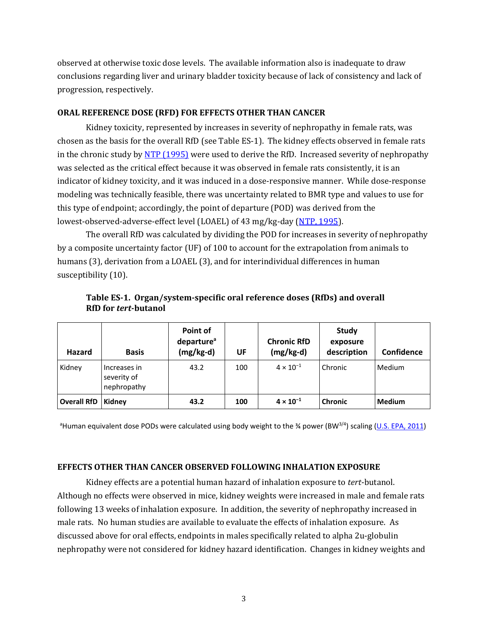observed at otherwise toxic dose levels. The available information also is inadequate to draw conclusions regarding liver and urinary bladder toxicity because of lack of consistency and lack of progression, respectively.

## **ORAL REFERENCE DOSE (RFD) FOR EFFECTS OTHER THAN CANCER**

Kidney toxicity, represented by increases in severity of nephropathy in female rats, was chosen as the basis for the overall RfD (se[e Table](#page-2-0) ES-1). The kidney effects observed in female rats in the chronic study b[y NTP \(1995\)](https://hero.epa.gov/hero/index.cfm?action=search.view&reference_id=91022) were used to derive the RfD. Increased severity of nephropathy was selected as the critical effect because it was observed in female rats consistently, it is an indicator of kidney toxicity, and it was induced in a dose-responsive manner. While dose-response modeling was technically feasible, there was uncertainty related to BMR type and values to use for this type of endpoint; accordingly, the point of departure (POD) was derived from the lowest-observed-adverse-effect level (LOAEL) of 43 mg/kg-day [\(NTP, 1995\)](https://hero.epa.gov/hero/index.cfm?action=search.view&reference_id=91022).

The overall RfD was calculated by dividing the POD for increases in severity of nephropathy by a composite uncertainty factor (UF) of 100 to account for the extrapolation from animals to humans (3), derivation from a LOAEL (3), and for interindividual differences in human susceptibility (10).

| <b>Hazard</b>               | <b>Basis</b>                               | Point of<br>departure <sup>a</sup><br>$(mg/kg-d)$ | UF  | <b>Chronic RfD</b><br>$(mg/kg-d)$ | Study<br>exposure<br>description | Confidence    |
|-----------------------------|--------------------------------------------|---------------------------------------------------|-----|-----------------------------------|----------------------------------|---------------|
| Kidney                      | Increases in<br>severity of<br>nephropathy | 43.2                                              | 100 | $4 \times 10^{-1}$                | Chronic                          | Medium        |
| <b>Overall RfD   Kidney</b> |                                            | 43.2                                              | 100 | $4 \times 10^{-1}$                | <b>Chronic</b>                   | <b>Medium</b> |

<span id="page-2-0"></span>**Table ES-1. Organ/system-specific oral reference doses (RfDs) and overall RfD for** *tert***-butanol**

<sup>a</sup>Human equivalent dose PODs were calculated using body weight to the ¾ power (BW<sup>3/4</sup>) scaling (<u>U.S. EPA, 2011</u>)

# **EFFECTS OTHER THAN CANCER OBSERVED FOLLOWING INHALATION EXPOSURE**

Kidney effects are a potential human hazard of inhalation exposure to *tert*-butanol. Although no effects were observed in mice, kidney weights were increased in male and female rats following 13 weeks of inhalation exposure. In addition, the severity of nephropathy increased in male rats. No human studies are available to evaluate the effects of inhalation exposure. As discussed above for oral effects, endpoints in males specifically related to alpha 2u-globulin nephropathy were not considered for kidney hazard identification. Changes in kidney weights and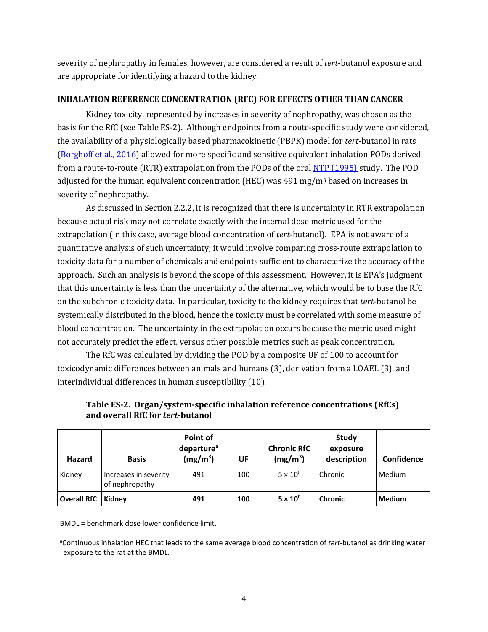severity of nephropathy in females, however, are considered a result of *tert*-butanol exposure and are appropriate for identifying a hazard to the kidney.

# **INHALATION REFERENCE CONCENTRATION (RFC) FOR EFFECTS OTHER THAN CANCER**

Kidney toxicity, represented by increases in severity of nephropathy, was chosen as the basis for the RfC (see [Table](#page-3-0) ES-2). Although endpoints from a route-specific study were considered, the availability of a physiologically based pharmacokinetic (PBPK) model for *tert*-butanol in rats [\(Borghoff et al., 2016\)](https://hero.epa.gov/hero/index.cfm?action=search.view&reference_id=3449552) allowed for more specific and sensitive equivalent inhalation PODs derived from a route-to-route (RTR) extrapolation from the PODs of the oral **NTP (1995)** study. The POD adjusted for the human equivalent concentration (HEC) was  $491 \text{ mg/m}^3$  based on increases in severity of nephropathy.

As discussed in Section 2.2.2, it is recognized that there is uncertainty in RTR extrapolation because actual risk may not correlate exactly with the internal dose metric used for the extrapolation (in this case, average blood concentration of *tert*-butanol). EPA is not aware of a quantitative analysis of such uncertainty; it would involve comparing cross-route extrapolation to toxicity data for a number of chemicals and endpoints sufficient to characterize the accuracy of the approach. Such an analysis is beyond the scope of this assessment. However, it is EPA's judgment that this uncertainty is less than the uncertainty of the alternative, which would be to base the RfC on the subchronic toxicity data. In particular, toxicity to the kidney requires that *tert*-butanol be systemically distributed in the blood, hence the toxicity must be correlated with some measure of blood concentration. The uncertainty in the extrapolation occurs because the metric used might not accurately predict the effect, versus other possible metrics such as peak concentration.

The RfC was calculated by dividing the POD by a composite UF of 100 to account for toxicodynamic differences between animals and humans (3), derivation from a LOAEL (3), and interindividual differences in human susceptibility (10).

| Hazard             | <b>Basis</b>                            | Point of<br>departure <sup>a</sup><br>(mg/m <sup>3</sup> ) | UF  | <b>Chronic RfC</b><br>(mg/m <sup>3</sup> ) | Study<br>exposure<br>description | Confidence    |
|--------------------|-----------------------------------------|------------------------------------------------------------|-----|--------------------------------------------|----------------------------------|---------------|
| Kidney             | Increases in severity<br>of nephropathy | 491                                                        | 100 | $5 \times 10^{0}$                          | l Chronic                        | Medium        |
| <b>Overall RfC</b> | Kidney                                  | 491                                                        | 100 | $5 \times 10^{0}$                          | l Chronic                        | <b>Medium</b> |

# <span id="page-3-0"></span>**Table ES-2. Organ/system-specific inhalation reference concentrations (RfCs) and overall RfC for** *tert***-butanol**

BMDL = benchmark dose lower confidence limit.

<sup>a</sup>Continuous inhalation HEC that leads to the same average blood concentration of *tert*-butanol as drinking water exposure to the rat at the BMDL.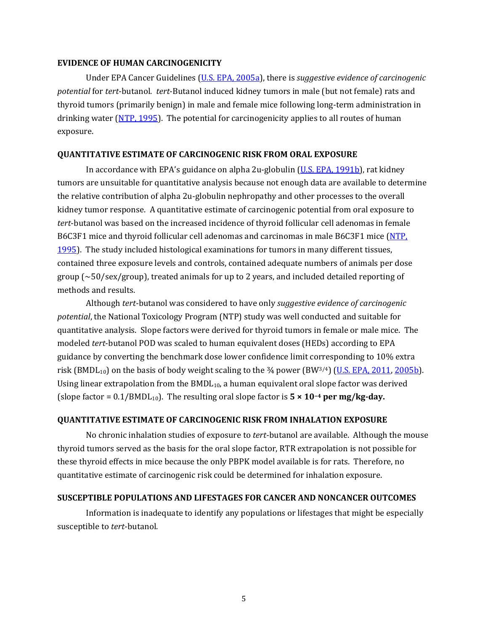#### **EVIDENCE OF HUMAN CARCINOGENICITY**

Under EPA Cancer Guidelines [\(U.S. EPA, 2005a\)](https://hero.epa.gov/hero/index.cfm?action=search.view&reference_id=6324329), there is *suggestive evidence of carcinogenic potential* for *tert*-butanol. *tert*-Butanol induced kidney tumors in male (but not female) rats and thyroid tumors (primarily benign) in male and female mice following long-term administration in drinking water  $(MTP, 1995)$ . The potential for carcinogenicity applies to all routes of human exposure.

### **QUANTITATIVE ESTIMATE OF CARCINOGENIC RISK FROM ORAL EXPOSURE**

In accordance with EPA's guidance on alpha 2u-globulin [\(U.S. EPA, 1991b\)](https://hero.epa.gov/hero/index.cfm?action=search.view&reference_id=8567), rat kidney tumors are unsuitable for quantitative analysis because not enough data are available to determine the relative contribution of alpha 2u-globulin nephropathy and other processes to the overall kidney tumor response. A quantitative estimate of carcinogenic potential from oral exposure to *tert*-butanol was based on the increased incidence of thyroid follicular cell adenomas in female B6C3F1 mice and thyroid follicular cell adenomas and carcinomas in male B6C3F1 mice (NTP, [1995\)](https://hero.epa.gov/hero/index.cfm?action=search.view&reference_id=91022). The study included histological examinations for tumors in many different tissues, contained three exposure levels and controls, contained adequate numbers of animals per dose group (~50/sex/group), treated animals for up to 2 years, and included detailed reporting of methods and results.

Although *tert*-butanol was considered to have only *suggestive evidence of carcinogenic potential*, the National Toxicology Program (NTP) study was well conducted and suitable for quantitative analysis. Slope factors were derived for thyroid tumors in female or male mice. The modeled *tert*-butanol POD was scaled to human equivalent doses (HEDs) according to EPA guidance by converting the benchmark dose lower confidence limit corresponding to 10% extra risk (BMDL<sub>10</sub>) on the basis of body weight scaling to the  $\frac{3}{4}$  power (BW<sup>3/4</sup>) [\(U.S. EPA, 2011,](https://hero.epa.gov/hero/index.cfm?action=search.view&reference_id=752972) [2005b\)](https://hero.epa.gov/hero/index.cfm?action=search.view&reference_id=86237). Using linear extrapolation from the  $BMDL_{10}$ , a human equivalent oral slope factor was derived (slope factor =  $0.1/BMDL_{10}$ ). The resulting oral slope factor is  $5 \times 10^{-4}$  per mg/kg-day.

# **QUANTITATIVE ESTIMATE OF CARCINOGENIC RISK FROM INHALATION EXPOSURE**

No chronic inhalation studies of exposure to *tert*-butanol are available. Although the mouse thyroid tumors served as the basis for the oral slope factor, RTR extrapolation is not possible for these thyroid effects in mice because the only PBPK model available is for rats. Therefore, no quantitative estimate of carcinogenic risk could be determined for inhalation exposure.

# **SUSCEPTIBLE POPULATIONS AND LIFESTAGES FOR CANCER AND NONCANCER OUTCOMES**

Information is inadequate to identify any populations or lifestages that might be especially susceptible to *tert*-butanol.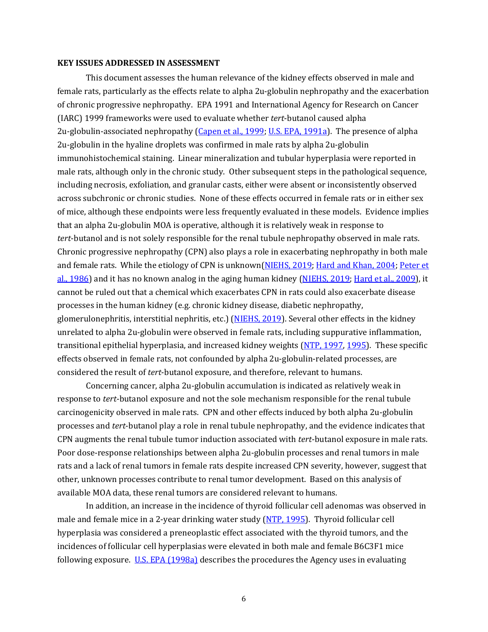#### **KEY ISSUES ADDRESSED IN ASSESSMENT**

This document assesses the human relevance of the kidney effects observed in male and female rats, particularly as the effects relate to alpha 2u-globulin nephropathy and the exacerbation of chronic progressive nephropathy. EPA 1991 and International Agency for Research on Cancer (IARC) 1999 frameworks were used to evaluate whether *tert*-butanol caused alpha 2u-globulin-associated nephropathy [\(Capen et al., 1999;](https://hero.epa.gov/hero/index.cfm?action=search.view&reference_id=699905) [U.S. EPA, 1991a\)](https://hero.epa.gov/hero/index.cfm?action=search.view&reference_id=635839). The presence of alpha 2u-globulin in the hyaline droplets was confirmed in male rats by alpha 2u-globulin immunohistochemical staining. Linear mineralization and tubular hyperplasia were reported in male rats, although only in the chronic study. Other subsequent steps in the pathological sequence, including necrosis, exfoliation, and granular casts, either were absent or inconsistently observed across subchronic or chronic studies. None of these effects occurred in female rats or in either sex of mice, although these endpoints were less frequently evaluated in these models. Evidence implies that an alpha 2u-globulin MOA is operative, although it is relatively weak in response to *tert*-butanol and is not solely responsible for the renal tubule nephropathy observed in male rats. Chronic progressive nephropathy (CPN) also plays a role in exacerbating nephropathy in both male and female rats. While the etiology of CPN is unknown [\(NIEHS, 2019;](https://hero.epa.gov/hero/index.cfm?action=search.view&reference_id=5098230) [Hard and Khan, 2004;](https://hero.epa.gov/hero/index.cfm?action=search.view&reference_id=782757) Peter et [al., 1986\)](https://hero.epa.gov/hero/index.cfm?action=search.view&reference_id=194755) and it has no known analog in the aging human kidney [\(NIEHS, 2019;](https://hero.epa.gov/hero/index.cfm?action=search.view&reference_id=5098230) [Hard et al., 2009\)](https://hero.epa.gov/hero/index.cfm?action=search.view&reference_id=667590), it cannot be ruled out that a chemical which exacerbates CPN in rats could also exacerbate disease processes in the human kidney (e.g. chronic kidney disease, diabetic nephropathy, glomerulonephritis, interstitial nephritis, etc.) [\(NIEHS, 2019\)](https://hero.epa.gov/hero/index.cfm?action=search.view&reference_id=5098230). Several other effects in the kidney unrelated to alpha 2u-globulin were observed in female rats, including suppurative inflammation, transitional epithelial hyperplasia, and increased kidney weights [\(NTP, 1997,](https://hero.epa.gov/hero/index.cfm?action=search.view&reference_id=86707) [1995\)](https://hero.epa.gov/hero/index.cfm?action=search.view&reference_id=91022). These specific effects observed in female rats, not confounded by alpha 2u-globulin-related processes, are considered the result of *tert*-butanol exposure, and therefore, relevant to humans.

Concerning cancer, alpha 2u-globulin accumulation is indicated as relatively weak in response to *tert*-butanol exposure and not the sole mechanism responsible for the renal tubule carcinogenicity observed in male rats. CPN and other effects induced by both alpha 2u-globulin processes and *tert*-butanol play a role in renal tubule nephropathy, and the evidence indicates that CPN augments the renal tubule tumor induction associated with *tert*-butanol exposure in male rats. Poor dose-response relationships between alpha 2u-globulin processes and renal tumors in male rats and a lack of renal tumors in female rats despite increased CPN severity, however, suggest that other, unknown processes contribute to renal tumor development. Based on this analysis of available MOA data, these renal tumors are considered relevant to humans.

In addition, an increase in the incidence of thyroid follicular cell adenomas was observed in male and female mice in a 2-year drinking water study [\(NTP, 1995\)](https://hero.epa.gov/hero/index.cfm?action=search.view&reference_id=91022). Thyroid follicular cell hyperplasia was considered a preneoplastic effect associated with the thyroid tumors, and the incidences of follicular cell hyperplasias were elevated in both male and female B6C3F1 mice following exposure. [U.S. EPA](https://hero.epa.gov/hero/index.cfm?action=search.view&reference_id=30018) (1998a) describes the procedures the Agency uses in evaluating